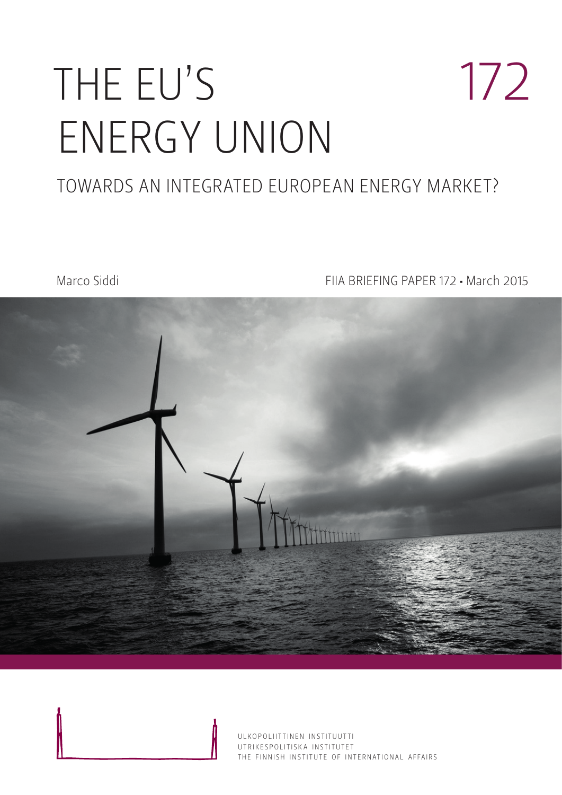# THE EU'S ENERGY UNION 172

### TOWARDS AN INTEGRATED EUROPEAN ENERGY MARKET?

Marco Siddi FIIA BRIEFING PAPER 172 • March 2015



ULKOPOLIITTINEN INSTITUUTTI UTRIKESPOLITISK A INSTITUTET THE FINNISH INSTITUTE OF INTERNATIONAL AFFAIRS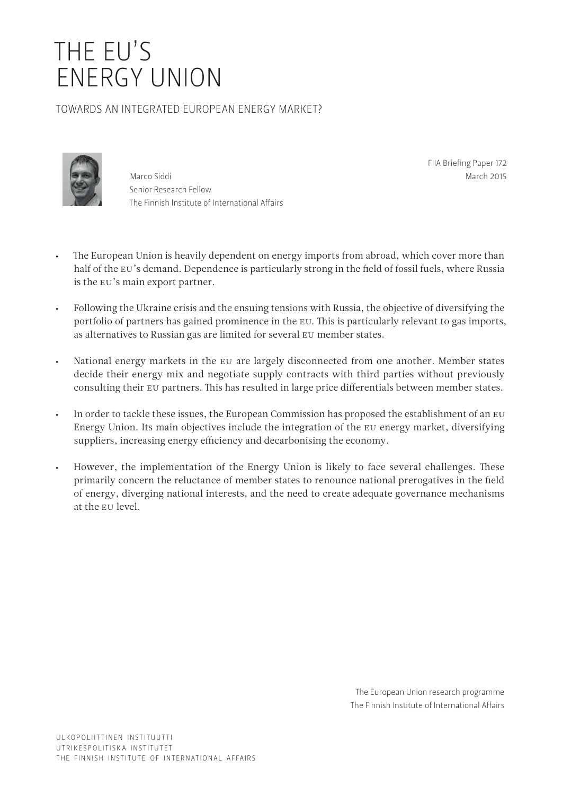## THE EU'S ENERGY UNION

#### TOWARDS AN INTEGRATED EUROPEAN ENERGY MARKET?



Marco Siddi Senior Research Fellow The Finnish Institute of International Affairs FIIA Briefing Paper 172 March 2015

- The European Union is heavily dependent on energy imports from abroad, which cover more than half of the EU's demand. Dependence is particularly strong in the field of fossil fuels, where Russia is the EU's main export partner.
- Following the Ukraine crisis and the ensuing tensions with Russia, the objective of diversifying the portfolio of partners has gained prominence in the EU. This is particularly relevant to gas imports, as alternatives to Russian gas are limited for several EU member states.
- National energy markets in the EU are largely disconnected from one another. Member states decide their energy mix and negotiate supply contracts with third parties without previously consulting their EU partners. This has resulted in large price differentials between member states.
- In order to tackle these issues, the European Commission has proposed the establishment of an EU Energy Union. Its main objectives include the integration of the EU energy market, diversifying suppliers, increasing energy efficiency and decarbonising the economy.
- However, the implementation of the Energy Union is likely to face several challenges. These primarily concern the reluctance of member states to renounce national prerogatives in the field of energy, diverging national interests, and the need to create adequate governance mechanisms at the EU level.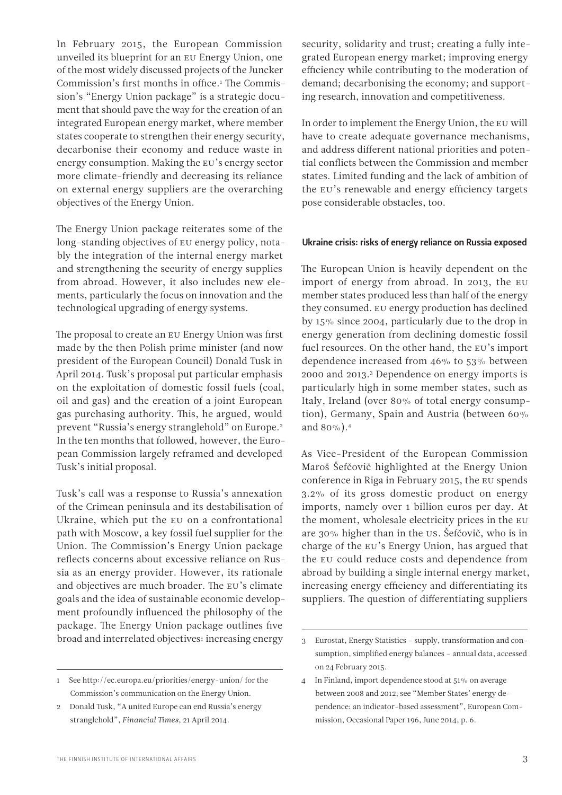In February 2015, the European Commission unveiled its blueprint for an EU Energy Union, one of the most widely discussed projects of the Juncker Commission's first months in office.<sup>1</sup> The Commission's "Energy Union package" is a strategic document that should pave the way for the creation of an integrated European energy market, where member states cooperate to strengthen their energy security, decarbonise their economy and reduce waste in energy consumption. Making the EU's energy sector more climate-friendly and decreasing its reliance on external energy suppliers are the overarching objectives of the Energy Union.

The Energy Union package reiterates some of the long-standing objectives of EU energy policy, notably the integration of the internal energy market and strengthening the security of energy supplies from abroad. However, it also includes new elements, particularly the focus on innovation and the technological upgrading of energy systems.

The proposal to create an EU Energy Union was first made by the then Polish prime minister (and now president of the European Council) Donald Tusk in April 2014. Tusk's proposal put particular emphasis on the exploitation of domestic fossil fuels (coal, oil and gas) and the creation of a joint European gas purchasing authority. This, he argued, would prevent "Russia's energy stranglehold" on Europe.2 In the ten months that followed, however, the European Commission largely reframed and developed Tusk's initial proposal.

Tusk's call was a response to Russia's annexation of the Crimean peninsula and its destabilisation of Ukraine, which put the EU on a confrontational path with Moscow, a key fossil fuel supplier for the Union. The Commission's Energy Union package reflects concerns about excessive reliance on Russia as an energy provider. However, its rationale and objectives are much broader. The EU's climate goals and the idea of sustainable economic development profoundly influenced the philosophy of the package. The Energy Union package outlines five broad and interrelated objectives: increasing energy

security, solidarity and trust; creating a fully integrated European energy market; improving energy efficiency while contributing to the moderation of demand; decarbonising the economy; and supporting research, innovation and competitiveness.

In order to implement the Energy Union, the EU will have to create adequate governance mechanisms, and address different national priorities and potential conflicts between the Commission and member states. Limited funding and the lack of ambition of the EU's renewable and energy efficiency targets pose considerable obstacles, too.

#### Ukraine crisis: risks of energy reliance on Russia exposed

The European Union is heavily dependent on the import of energy from abroad. In 2013, the EU member states produced less than half of the energy they consumed. EU energy production has declined by 15% since 2004, particularly due to the drop in energy generation from declining domestic fossil fuel resources. On the other hand, the EU's import dependence increased from 46% to 53% between 2000 and 2013.3 Dependence on energy imports is particularly high in some member states, such as Italy, Ireland (over 80% of total energy consumption), Germany, Spain and Austria (between 60% and 80%).4

As Vice-President of the European Commission Maroš Šefčovič highlighted at the Energy Union conference in Riga in February 2015, the EU spends 3.2% of its gross domestic product on energy imports, namely over 1 billion euros per day. At the moment, wholesale electricity prices in the EU are 30% higher than in the US. Šefčovič, who is in charge of the EU's Energy Union, has argued that the EU could reduce costs and dependence from abroad by building a single internal energy market, increasing energy efficiency and differentiating its suppliers. The question of differentiating suppliers

<sup>1</sup> See<http://ec.europa.eu/priorities/energy-union/>for the Commission's communication on the Energy Union.

<sup>2</sup> Donald Tusk, "A united Europe can end Russia's energy stranglehold", *Financial Times*, 21 April 2014.

<sup>3</sup> Eurostat, Energy Statistics – supply, transformation and consumption, simplified energy balances – annual data, accessed on 24 February 2015.

<sup>4</sup> In Finland, import dependence stood at 51% on average between 2008 and 2012; see "Member States' energy dependence: an indicator-based assessment", European Commission, Occasional Paper 196, June 2014, p. 6.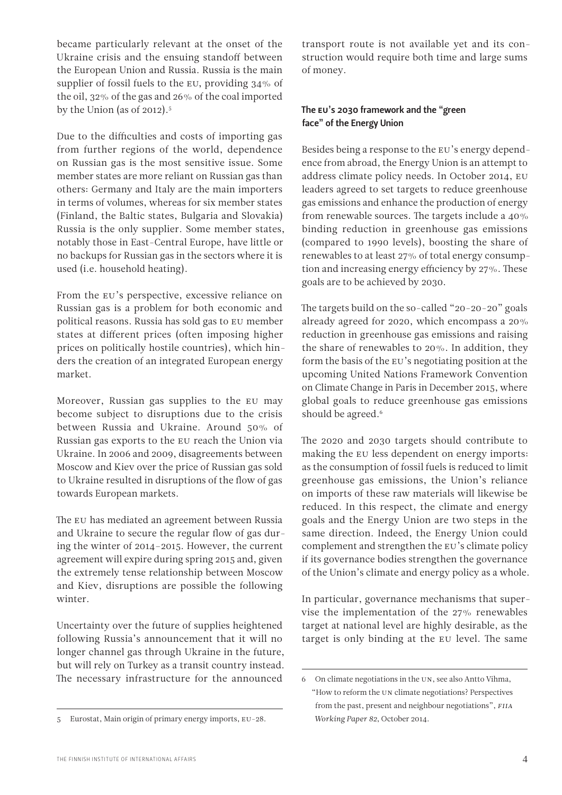became particularly relevant at the onset of the Ukraine crisis and the ensuing standoff between the European Union and Russia. Russia is the main supplier of fossil fuels to the EU, providing 34% of the oil, 32% of the gas and 26% of the coal imported by the Union (as of 2012).<sup>5</sup>

Due to the difficulties and costs of importing gas from further regions of the world, dependence on Russian gas is the most sensitive issue. Some member states are more reliant on Russian gas than others: Germany and Italy are the main importers in terms of volumes, whereas for six member states (Finland, the Baltic states, Bulgaria and Slovakia) Russia is the only supplier. Some member states, notably those in East-Central Europe, have little or no backups for Russian gas in the sectors where it is used (i.e. household heating).

From the EU's perspective, excessive reliance on Russian gas is a problem for both economic and political reasons. Russia has sold gas to EU member states at different prices (often imposing higher prices on politically hostile countries), which hinders the creation of an integrated European energy market.

Moreover, Russian gas supplies to the EU may become subject to disruptions due to the crisis between Russia and Ukraine. Around 50% of Russian gas exports to the EU reach the Union via Ukraine. In 2006 and 2009, disagreements between Moscow and Kiev over the price of Russian gas sold to Ukraine resulted in disruptions of the flow of gas towards European markets.

The EU has mediated an agreement between Russia and Ukraine to secure the regular flow of gas during the winter of 2014–2015. However, the current agreement will expire during spring 2015 and, given the extremely tense relationship between Moscow and Kiev, disruptions are possible the following winter.

Uncertainty over the future of supplies heightened following Russia's announcement that it will no longer channel gas through Ukraine in the future, but will rely on Turkey as a transit country instead. The necessary infrastructure for the announced

transport route is not available yet and its construction would require both time and large sums of money.

#### The EU's 2030 framework and the "green face" of the Energy Union

Besides being a response to the EU's energy dependence from abroad, the Energy Union is an attempt to address climate policy needs. In October 2014, EU leaders agreed to set targets to reduce greenhouse gas emissions and enhance the production of energy from renewable sources. The targets include a 40% binding reduction in greenhouse gas emissions (compared to 1990 levels), boosting the share of renewables to at least 27% of total energy consumption and increasing energy efficiency by 27%. These goals are to be achieved by 2030.

The targets build on the so-called "20-20-20" goals already agreed for 2020, which encompass a 20% reduction in greenhouse gas emissions and raising the share of renewables to 20%. In addition, they form the basis of the EU's negotiating position at the upcoming United Nations Framework Convention on Climate Change in Paris in December 2015, where global goals to reduce greenhouse gas emissions should be agreed.<sup>6</sup>

The 2020 and 2030 targets should contribute to making the EU less dependent on energy imports: as the consumption of fossil fuels is reduced to limit greenhouse gas emissions, the Union's reliance on imports of these raw materials will likewise be reduced. In this respect, the climate and energy goals and the Energy Union are two steps in the same direction. Indeed, the Energy Union could complement and strengthen the EU's climate policy if its governance bodies strengthen the governance of the Union's climate and energy policy as a whole.

In particular, governance mechanisms that supervise the implementation of the 27% renewables target at national level are highly desirable, as the target is only binding at the EU level. The same

<sup>5</sup> Eurostat, Main origin of primary energy imports, EU-28.

<sup>6</sup> On climate negotiations in the UN, see also Antto Vihma, "How to reform the UN climate negotiations? Perspectives from the past, present and neighbour negotiations", *FIIA Working Paper 82*, October 2014.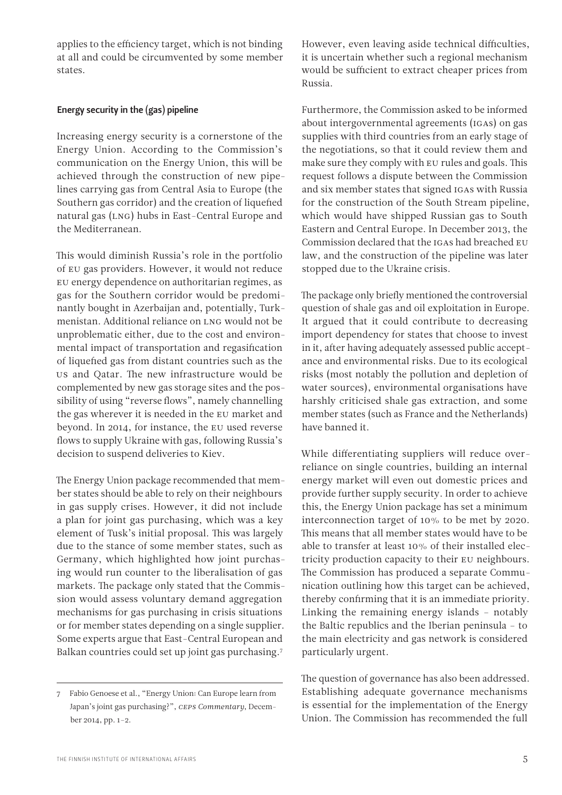applies to the efficiency target, which is not binding at all and could be circumvented by some member states.

#### Energy security in the (gas) pipeline

Increasing energy security is a cornerstone of the Energy Union. According to the Commission's communication on the Energy Union, this will be achieved through the construction of new pipelines carrying gas from Central Asia to Europe (the Southern gas corridor) and the creation of liquefied natural gas (LNG) hubs in East-Central Europe and the Mediterranean.

This would diminish Russia's role in the portfolio of EU gas providers. However, it would not reduce EU energy dependence on authoritarian regimes, as gas for the Southern corridor would be predominantly bought in Azerbaijan and, potentially, Turkmenistan. Additional reliance on LNG would not be unproblematic either, due to the cost and environmental impact of transportation and regasification of liquefied gas from distant countries such as the US and Qatar. The new infrastructure would be complemented by new gas storage sites and the possibility of using "reverse flows", namely channelling the gas wherever it is needed in the EU market and beyond. In 2014, for instance, the EU used reverse flows to supply Ukraine with gas, following Russia's decision to suspend deliveries to Kiev.

The Energy Union package recommended that member states should be able to rely on their neighbours in gas supply crises. However, it did not include a plan for joint gas purchasing, which was a key element of Tusk's initial proposal. This was largely due to the stance of some member states, such as Germany, which highlighted how joint purchasing would run counter to the liberalisation of gas markets. The package only stated that the Commission would assess voluntary demand aggregation mechanisms for gas purchasing in crisis situations or for member states depending on a single supplier. Some experts argue that East-Central European and Balkan countries could set up joint gas purchasing.7

However, even leaving aside technical difficulties, it is uncertain whether such a regional mechanism would be sufficient to extract cheaper prices from Russia.

Furthermore, the Commission asked to be informed about intergovernmental agreements (IGAs) on gas supplies with third countries from an early stage of the negotiations, so that it could review them and make sure they comply with EU rules and goals. This request follows a dispute between the Commission and six member states that signed IGAs with Russia for the construction of the South Stream pipeline, which would have shipped Russian gas to South Eastern and Central Europe. In December 2013, the Commission declared that the IGAs had breached EU law, and the construction of the pipeline was later stopped due to the Ukraine crisis.

The package only briefly mentioned the controversial question of shale gas and oil exploitation in Europe. It argued that it could contribute to decreasing import dependency for states that choose to invest in it, after having adequately assessed public acceptance and environmental risks. Due to its ecological risks (most notably the pollution and depletion of water sources), environmental organisations have harshly criticised shale gas extraction, and some member states (such as France and the Netherlands) have banned it.

While differentiating suppliers will reduce overreliance on single countries, building an internal energy market will even out domestic prices and provide further supply security. In order to achieve this, the Energy Union package has set a minimum interconnection target of 10% to be met by 2020. This means that all member states would have to be able to transfer at least 10% of their installed electricity production capacity to their EU neighbours. The Commission has produced a separate Communication outlining how this target can be achieved, thereby confirming that it is an immediate priority. Linking the remaining energy islands – notably the Baltic republics and the Iberian peninsula – to the main electricity and gas network is considered particularly urgent.

The question of governance has also been addressed. Establishing adequate governance mechanisms is essential for the implementation of the Energy Union. The Commission has recommended the full

<sup>7</sup> Fabio Genoese et al., "Energy Union: Can Europe learn from Japan's joint gas purchasing?", *CEPS Commentary*, December 2014, pp. 1–2.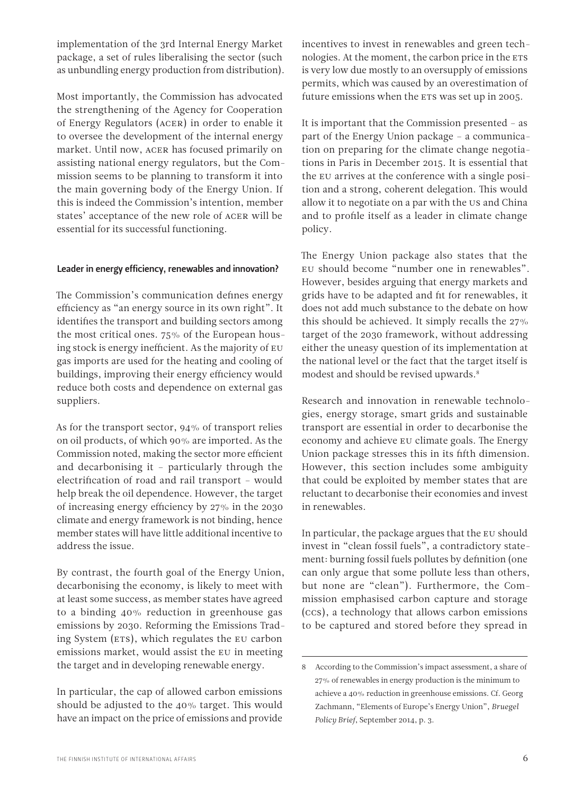implementation of the 3rd Internal Energy Market package, a set of rules liberalising the sector (such as unbundling energy production from distribution).

Most importantly, the Commission has advocated the strengthening of the Agency for Cooperation of Energy Regulators (ACER) in order to enable it to oversee the development of the internal energy market. Until now, ACER has focused primarily on assisting national energy regulators, but the Commission seems to be planning to transform it into the main governing body of the Energy Union. If this is indeed the Commission's intention, member states' acceptance of the new role of ACER will be essential for its successful functioning.

#### Leader in energy efficiency, renewables and innovation?

The Commission's communication defines energy efficiency as "an energy source in its own right". It identifies the transport and building sectors among the most critical ones. 75% of the European housing stock is energy inefficient. As the majority of EU gas imports are used for the heating and cooling of buildings, improving their energy efficiency would reduce both costs and dependence on external gas suppliers.

As for the transport sector, 94% of transport relies on oil products, of which 90% are imported. As the Commission noted, making the sector more efficient and decarbonising it – particularly through the electrification of road and rail transport – would help break the oil dependence. However, the target of increasing energy efficiency by 27% in the 2030 climate and energy framework is not binding, hence member states will have little additional incentive to address the issue.

By contrast, the fourth goal of the Energy Union, decarbonising the economy, is likely to meet with at least some success, as member states have agreed to a binding 40% reduction in greenhouse gas emissions by 2030. Reforming the Emissions Trading System (ETS), which regulates the EU carbon emissions market, would assist the EU in meeting the target and in developing renewable energy.

In particular, the cap of allowed carbon emissions should be adjusted to the 40% target. This would have an impact on the price of emissions and provide incentives to invest in renewables and green technologies. At the moment, the carbon price in the ETS is very low due mostly to an oversupply of emissions permits, which was caused by an overestimation of future emissions when the ETS was set up in 2005.

It is important that the Commission presented – as part of the Energy Union package – a communication on preparing for the climate change negotiations in Paris in December 2015. It is essential that the EU arrives at the conference with a single position and a strong, coherent delegation. This would allow it to negotiate on a par with the US and China and to profile itself as a leader in climate change policy.

The Energy Union package also states that the EU should become "number one in renewables". However, besides arguing that energy markets and grids have to be adapted and fit for renewables, it does not add much substance to the debate on how this should be achieved. It simply recalls the 27% target of the 2030 framework, without addressing either the uneasy question of its implementation at the national level or the fact that the target itself is modest and should be revised upwards.<sup>8</sup>

Research and innovation in renewable technologies, energy storage, smart grids and sustainable transport are essential in order to decarbonise the economy and achieve EU climate goals. The Energy Union package stresses this in its fifth dimension. However, this section includes some ambiguity that could be exploited by member states that are reluctant to decarbonise their economies and invest in renewables.

In particular, the package argues that the EU should invest in "clean fossil fuels", a contradictory statement: burning fossil fuels pollutes by definition (one can only argue that some pollute less than others, but none are "clean"). Furthermore, the Commission emphasised carbon capture and storage (CCS), a technology that allows carbon emissions to be captured and stored before they spread in

<sup>8</sup> According to the Commission's impact assessment, a share of 27% of renewables in energy production is the minimum to achieve a 40% reduction in greenhouse emissions. Cf. Georg Zachmann, "Elements of Europe's Energy Union", *Bruegel Policy Brief*, September 2014, p. 3.